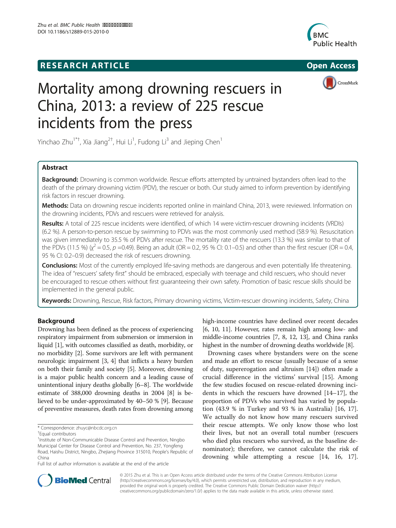# **RESEARCH ARTICLE Example 2014 CONSIDERING CONSIDERING CONSIDERING CONSIDERING CONSIDERING CONSIDERING CONSIDERING CONSIDERING CONSIDERING CONSIDERING CONSIDERING CONSIDERING CONSIDERING CONSIDERING CONSIDERING CONSIDE**





# Mortality among drowning rescuers in China, 2013: a review of 225 rescue incidents from the press

Yinchao Zhu<sup>1\*†</sup>, Xia Jiang<sup>2†</sup>, Hui Li<sup>1</sup>, Fudong Li<sup>3</sup> and Jieping Chen<sup>1</sup>

# Abstract

Background: Drowning is common worldwide. Rescue efforts attempted by untrained bystanders often lead to the death of the primary drowning victim (PDV), the rescuer or both. Our study aimed to inform prevention by identifying risk factors in rescuer drowning.

Methods: Data on drowning rescue incidents reported online in mainland China, 2013, were reviewed. Information on the drowning incidents, PDVs and rescuers were retrieved for analysis.

Results: A total of 225 rescue incidents were identified, of which 14 were victim-rescuer drowning incidents (VRDIs) (6.2 %). A person-to-person rescue by swimming to PDVs was the most commonly used method (58.9 %). Resuscitation was given immediately to 35.5 % of PDVs after rescue. The mortality rate of the rescuers (13.3 %) was similar to that of the PDVs (11.5 %) ( $\chi^2 = 0.5$ , p =0.49). Being an adult (OR = 0.2, 95 % CI: 0.1–0.5) and other than the first rescuer (OR = 0.4, or  $\mu$  or  $\mu$  or  $\mu$  or  $\mu$  or  $\mu$  or  $\mu$  or  $\mu$  or  $\mu$  or  $\mu$  or  $\mu$  or  $\mu$  or 95 % CI: 0.2–0.9) decreased the risk of rescuers drowning.

Conclusions: Most of the currently employed life-saving methods are dangerous and even potentially life threatening. The idea of "rescuers' safety first" should be embraced, especially with teenage and child rescuers, who should never be encouraged to rescue others without first guaranteeing their own safety. Promotion of basic rescue skills should be implemented in the general public.

Keywords: Drowning, Rescue, Risk factors, Primary drowning victims, Victim-rescuer drowning incidents, Safety, China

# Background

Drowning has been defined as the process of experiencing respiratory impairment from submersion or immersion in liquid [1], with outcomes classified as death, morbidity, or no morbidity [2]. Some survivors are left with permanent neurologic impairment [3, 4] that inflicts a heavy burden on both their family and society [5]. Moreover, drowning is a major public health concern and a leading cause of unintentional injury deaths globally [6–8]. The worldwide estimate of 388,000 drowning deaths in 2004 [8] is believed to be under-approximated by 40–50 % [9]. Because of preventive measures, death rates from drowning among

Full list of author information is available at the end of the article

high-income countries have declined over recent decades [6, 10, 11]. However, rates remain high among low- and middle-income countries [7, 8, 12, 13], and China ranks highest in the number of drowning deaths worldwide [8].

Drowning cases where bystanders were on the scene and made an effort to rescue (usually because of a sense of duty, supererogation and altruism [14]) often made a crucial difference in the victims' survival [15]. Among the few studies focused on rescue-related drowning incidents in which the rescuers have drowned [14–17], the proportion of PDVs who survived has varied by population (43.9 % in Turkey and 93 % in Australia) [16, 17]. We actually do not know how many rescuers survived their rescue attempts. We only know those who lost their lives, but not an overall total number (rescuers who died plus rescuers who survived, as the baseline denominator); therefore, we cannot calculate the risk of drowning while attempting a rescue [14, 16, 17].



© 2015 Zhu et al. This is an Open Access article distributed under the terms of the Creative Commons Attribution License (http://creativecommons.org/licenses/by/4.0), which permits unrestricted use, distribution, and reproduction in any medium, provided the original work is properly credited. The Creative Commons Public Domain Dedication waiver (http:// creativecommons.org/publicdomain/zero/1.0/) applies to the data made available in this article, unless otherwise stated.

<sup>\*</sup> Correspondence: zhuyc@nbcdc.org.cn †

Equal contributors

<sup>&</sup>lt;sup>1</sup>Institute of Non-Communicable Disease Control and Prevention, Ningbo Municipal Center for Disease Control and Prevention, No. 237, Yongfeng Road, Haishu District, Ningbo, Zhejiang Province 315010, People's Republic of China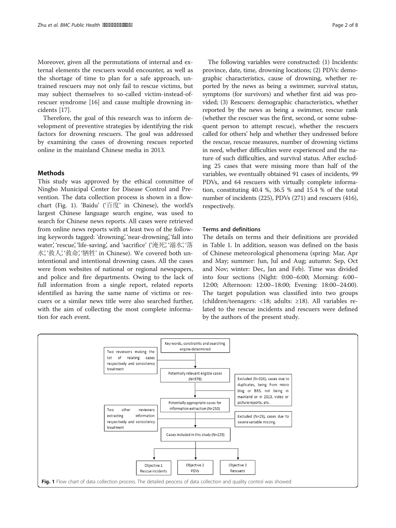Moreover, given all the permutations of internal and external elements the rescuers would encounter, as well as the shortage of time to plan for a safe approach, untrained rescuers may not only fail to rescue victims, but may subject themselves to so-called victim-instead-ofrescuer syndrome [16] and cause multiple drowning incidents [17].

Therefore, the goal of this research was to inform development of preventive strategies by identifying the risk factors for drowning rescuers. The goal was addressed by examining the cases of drowning rescues reported online in the mainland Chinese media in 2013.

# **Methods**

This study was approved by the ethical committee of Ningbo Municipal Center for Disease Control and Prevention. The data collection process is shown in a flowchart (Fig. 1). 'Baidu' ('百度' in Chinese), the world's largest Chinese language search engine, was used to search for Chinese news reports. All cases were retrieved from online news reports with at least two of the following keywords tagged: 'drowning', 'near-drowning', 'fall into water', 'rescue', 'life-saving', and 'sacrifice' ('淹死', '溺水', '落 水', '救人', '救命', '牺牲' in Chinese). We covered both unintentional and intentional drowning cases. All the cases were from websites of national or regional newspapers, and police and fire departments. Owing to the lack of full information from a single report, related reports identified as having the same name of victims or rescuers or a similar news title were also searched further, with the aim of collecting the most complete information for each event.

The following variables were constructed: (1) Incidents: province, date, time, drowning locations; (2) PDVs: demographic characteristics, cause of drowning, whether reported by the news as being a swimmer, survival status, symptoms (for survivors) and whether first aid was provided; (3) Rescuers: demographic characteristics, whether reported by the news as being a swimmer, rescue rank (whether the rescuer was the first, second, or some subsequent person to attempt rescue), whether the rescuers called for others' help and whether they undressed before the rescue, rescue measures, number of drowning victims in need, whether difficulties were experienced and the nature of such difficulties, and survival status. After excluding 25 cases that were missing more than half of the variables, we eventually obtained 91 cases of incidents, 99 PDVs, and 64 rescuers with virtually complete information, constituting 40.4 %, 36.5 % and 15.4 % of the total number of incidents (225), PDVs (271) and rescuers (416), respectively.

#### Terms and definitions

The details on terms and their definitions are provided in Table 1. In addition, season was defined on the basis of Chinese meteorological phenomena (spring: Mar, Apr and May; summer: Jun, Jul and Aug; autumn: Sep, Oct and Nov; winter: Dec, Jan and Feb). Time was divided into four sections (Night: 0:00–6:00; Morning: 6:00– 12:00; Afternoon: 12:00–18:00; Evening: 18:00–24:00). The target population was classified into two groups (children/teenagers: <18; adults: ≥18). All variables related to the rescue incidents and rescuers were defined by the authors of the present study.

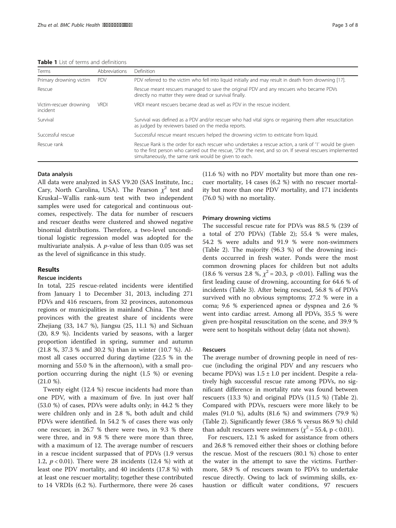Table 1 List of terms and definitions

| Terms                               | Abbreviations | Definition                                                                                                                                                                                                                                                                      |
|-------------------------------------|---------------|---------------------------------------------------------------------------------------------------------------------------------------------------------------------------------------------------------------------------------------------------------------------------------|
| Primary drowning victim             | <b>PDV</b>    | PDV referred to the victim who fell into liquid initially and may result in death from drowning [17].                                                                                                                                                                           |
| Rescue                              |               | Rescue meant rescuers managed to save the original PDV and any rescuers who became PDVs<br>directly no matter they were dead or survival finally.                                                                                                                               |
| Victim-rescuer drowning<br>incident | <b>VRDI</b>   | VRDI meant rescuers became dead as well as PDV in the rescue incident.                                                                                                                                                                                                          |
| Survival                            |               | Survival was defined as a PDV and/or rescuer who had vital signs or regaining them after resuscitation<br>as judged by reviewers based on the media reports.                                                                                                                    |
| Successful rescue                   |               | Successful rescue meant rescuers helped the drowning victim to extricate from liquid.                                                                                                                                                                                           |
| Rescue rank                         |               | Rescue Rank is the order for each rescuer who undertakes a rescue action, a rank of '1' would be given<br>to the first person who carried out the rescue, '2' for the next, and so on. If several rescuers implemented<br>simultaneously, the same rank would be given to each. |

#### Data analysis

All data were analyzed in SAS V9.20 (SAS Institute, Inc.; Cary, North Carolina, USA). The Pearson  $\chi^2$  test and Kruskal–Wallis rank-sum test with two independent samples were used for categorical and continuous outcomes, respectively. The data for number of rescuers and rescuer deaths were clustered and showed negative binomial distributions. Therefore, a two-level unconditional logistic regression model was adopted for the multivariate analysis. A  $p$ -value of less than 0.05 was set as the level of significance in this study.

### Results

# Rescue incidents

In total, 225 rescue-related incidents were identified from January 1 to December 31, 2013, including 271 PDVs and 416 rescuers, from 32 provinces, autonomous regions or municipalities in mainland China. The three provinces with the greatest share of incidents were Zhejiang (33, 14.7 %), Jiangsu (25, 11.1 %) and Sichuan (20, 8.9 %). Incidents varied by seasons, with a larger proportion identified in spring, summer and autumn (21.8 %, 37.3 % and 30.2 %) than in winter (10.7 %). Almost all cases occurred during daytime (22.5 % in the morning and 55.0 % in the afternoon), with a small proportion occurring during the night (1.5 %) or evening  $(21.0 %).$ 

Twenty eight (12.4 %) rescue incidents had more than one PDV, with a maximum of five. In just over half (53.0 %) of cases, PDVs were adults only; in 44.2 % they were children only and in 2.8 %, both adult and child PDVs were identified. In 54.2 % of cases there was only one rescuer, in 26.7 % there were two, in 9.3 % there were three, and in 9.8 % there were more than three, with a maximum of 12. The average number of rescuers in a rescue incident surpassed that of PDVs (1.9 versus 1.2,  $p < 0.01$ ). There were 28 incidents (12.4 %) with at least one PDV mortality, and 40 incidents (17.8 %) with at least one rescuer mortality; together these contributed to 14 VRDIs (6.2 %). Furthermore, there were 26 cases (11.6 %) with no PDV mortality but more than one rescuer mortality, 14 cases (6.2 %) with no rescuer mortality but more than one PDV mortality, and 171 incidents (76.0 %) with no mortality.

#### Primary drowning victims

The successful rescue rate for PDVs was 88.5 % (239 of a total of 270 PDVs) (Table 2); 55.4 % were males, 54.2 % were adults and 91.9 % were non-swimmers (Table 2). The majority (96.3 %) of the drowning incidents occurred in fresh water. Ponds were the most common drowning places for children but not adults (18.6 % versus 2.8 %,  $\chi^2$  = 20.3, p <0.01). Falling was the first leading cause of drowning, accounting for 64.6 % of incidents (Table 3). After being rescued, 56.8 % of PDVs survived with no obvious symptoms; 27.2 % were in a coma; 9.6 % experienced apnea or dyspnea and 2.6 % went into cardiac arrest. Among all PDVs, 35.5 % were given pre-hospital resuscitation on the scene, and 39.9 % were sent to hospitals without delay (data not shown).

#### Rescuers

The average number of drowning people in need of rescue (including the original PDV and any rescuers who became PDVs) was  $1.5 \pm 1.0$  per incident. Despite a relatively high successful rescue rate among PDVs, no significant difference in mortality rate was found between rescuers (13.3 %) and original PDVs (11.5 %) (Table 2). Compared with PDVs, rescuers were more likely to be males (91.0 %), adults (81.6 %) and swimmers (79.9 %) (Table 2). Significantly fewer (38.6 % versus 86.9 %) child than adult rescuers were swimmers ( $\chi^2$  = 55.4, p < 0.01).

For rescuers, 12.1 % asked for assistance from others and 26.8 % removed either their shoes or clothing before the rescue. Most of the rescuers (80.1 %) chose to enter the water in the attempt to save the victims. Furthermore, 58.9 % of rescuers swam to PDVs to undertake rescue directly. Owing to lack of swimming skills, exhaustion or difficult water conditions, 97 rescuers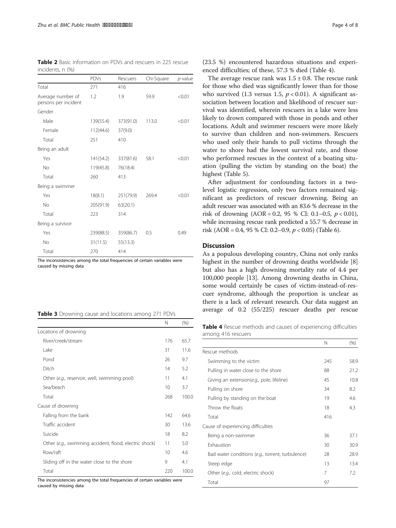| <b>Table 2</b> Basic information on PDVs and rescuers in 225 rescue |  |  |
|---------------------------------------------------------------------|--|--|
| incidents, n (%)                                                    |  |  |

|                                           | <b>PDVs</b> | Rescuers  | Chi-Square | $p$ -value |
|-------------------------------------------|-------------|-----------|------------|------------|
| Total                                     | 271         | 416       |            |            |
| Average number of<br>persons per incident | 1.2         | 1.9       | 59.9       | < 0.01     |
| Gender                                    |             |           |            |            |
| Male                                      | 139(55.4)   | 373(91.0) | 113.0      | < 0.01     |
| Female                                    | 112(44.6)   | 37(9.0)   |            |            |
| Total                                     | 251         | 410       |            |            |
| Being an adult                            |             |           |            |            |
| Yes                                       | 141(54.2)   | 337(81.6) | 58.1       | < 0.01     |
| <b>No</b>                                 | 119(45.8)   | 76(18.4)  |            |            |
| Total                                     | 260         | 413       |            |            |
| Being a swimmer                           |             |           |            |            |
| Yes                                       | 18(8.1)     | 251(79.9) | 269.4      | < 0.01     |
| <b>No</b>                                 | 205(91.9)   | 63(20.1)  |            |            |
| Total                                     | 223         | 314       |            |            |
| Being a survivor                          |             |           |            |            |
| Yes                                       | 239(88.5)   | 359(86.7) | 0.5        | 0.49       |
| <b>No</b>                                 | 31(11.5)    | 55(13.3)  |            |            |
| Total                                     | 270         | 414       |            |            |

The inconsistencies among the total frequencies of certain variables were caused by missing data

|  | Table 3 Drowning cause and locations among 271 PDVs |  |
|--|-----------------------------------------------------|--|
|--|-----------------------------------------------------|--|

|                                                        | N               | (% )  |
|--------------------------------------------------------|-----------------|-------|
| Locations of drowning                                  |                 |       |
| River/creek/stream                                     | 176             | 65.7  |
| Lake                                                   | 31              | 11.6  |
| Pond                                                   | 26              | 9.7   |
| Ditch                                                  | 14              | 5.2   |
| Other (e.g., reservoir, well, swimming pool)           | 11              | 4.1   |
| Sea/beach                                              | 10              | 3.7   |
| Total                                                  | 268             | 100.0 |
| Cause of drowning                                      |                 |       |
| Falling from the bank                                  | 142             | 646   |
| Traffic accident                                       | 30              | 13.6  |
| Suicide                                                | 18              | 8.2   |
| Other (e.g., swimming accident, flood, electric shock) | 11              | 5.0   |
| Row/raft                                               | 10 <sup>2</sup> | 4.6   |
| Sliding off in the water close to the shore            | 9               | 4.1   |
| Total                                                  | 220             | 100.0 |

The inconsistencies among the total frequencies of certain variables were caused by missing data

(23.5 %) encountered hazardous situations and experienced difficulties; of these, 57.3 % died (Table 4).

The average rescue rank was  $1.5 \pm 0.8$ . The rescue rank for those who died was significantly lower than for those who survived (1.3 versus 1.5,  $p < 0.01$ ). A significant association between location and likelihood of rescuer survival was identified, wherein rescuers in a lake were less likely to drown compared with those in ponds and other locations. Adult and swimmer rescuers were more likely to survive than children and non-swimmers. Rescuers who used only their hands to pull victims through the water to shore had the lowest survival rate, and those who performed rescues in the context of a boating situation (pulling the victim by standing on the boat) the highest (Table 5).

After adjustment for confounding factors in a twolevel logistic regression, only two factors remained significant as predictors of rescuer drowning. Being an adult rescuer was associated with an 83.6 % decrease in the risk of drowning  $(AOR = 0.2, 95 % CI: 0.1-0.5, p < 0.01)$ , while increasing rescue rank predicted a 55.7 % decrease in risk (AOR = 0.4, 95 % CI: 0.2–0.9,  $p < 0.05$ ) (Table 6).

## **Discussion**

As a populous developing country, China not only ranks highest in the number of drowning deaths worldwide [8] but also has a high drowning mortality rate of 4.4 per 100,000 people [13]. Among drowning deaths in China, some would certainly be cases of victim-instead-of-rescuer syndrome, although the proportion is unclear as there is a lack of relevant research. Our data suggest an average of 0.2 (55/225) rescuer deaths per rescue

Table 4 Rescue methods and causes of experiencing difficulties among 416 rescuers

|                                                  | Ν   | (% ) |
|--------------------------------------------------|-----|------|
| Rescue methods                                   |     |      |
| Swimming to the victim                           | 245 | 58.9 |
| Pulling in water close to the shore              | 88  | 21.2 |
| Giving an extension(e.g., pole, lifeline)        | 45  | 10.8 |
| Pulling on shore                                 | 34  | 8.2  |
| Pulling by standing on the boat                  | 19  | 46   |
| Throw the floats                                 | 18  | 4.3  |
| Total                                            | 416 |      |
| Cause of experiencing difficulties               |     |      |
| Being a non-swimmer                              | 36  | 37.1 |
| <b>Exhaustion</b>                                | 30  | 30.9 |
| Bad water conditions (e.g., torrent, turbulence) | 28  | 28.9 |
| Steep edge                                       | 13  | 13.4 |
| Other (e.g., cold, electric shock)               | 7   | 7.2  |
| Total                                            | 97  |      |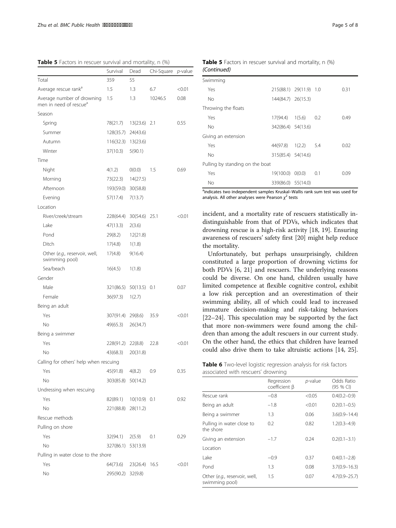Table 5 Factors in rescuer survival and mortality, n (%)

|                                                                  | Survival           | Dead           | Chi-Square | <i>p</i> -value |
|------------------------------------------------------------------|--------------------|----------------|------------|-----------------|
| Total                                                            | 359                | 55             |            |                 |
| Average rescue rank <sup>a</sup>                                 | 1.5                | 1.3            | 6.7        | < 0.01          |
| Average number of drowning<br>men in need of rescue <sup>a</sup> | 1.5                | 1.3            | 10246.5    | 0.08            |
| Season                                                           |                    |                |            |                 |
| Spring                                                           | 78(21.7)           | 13(23.6)       | 2.1        | 0.55            |
| Summer                                                           | 128(35.7)          | 24(43.6)       |            |                 |
| Autumn                                                           | 116(32.3)          | 13(23.6)       |            |                 |
| Winter                                                           | 37(10.3)           | 5(90.1)        |            |                 |
| Time                                                             |                    |                |            |                 |
| Night                                                            | 4(1.2)             | 0(0.0)         | 1.5        | 0.69            |
| Morning                                                          | 73(22.3)           | 14(27.5)       |            |                 |
| Afternoon                                                        | 193(59.0)          | 30(58.8)       |            |                 |
| Evening                                                          | 57(17.4)           | 7(13.7)        |            |                 |
| Location                                                         |                    |                |            |                 |
| River/creek/stream                                               | 228(64.4)          | 30(54.6)       | 25.1       | < 0.01          |
| Lake                                                             | 47(13.3)           | 2(3.6)         |            |                 |
| Pond                                                             | 29(8.2)            | 12(21.8)       |            |                 |
| Ditch                                                            | 17(4.8)            | 1(1.8)         |            |                 |
| Other (e.g., reservoir, well,<br>swimming pool)                  | 17(4.8)            | 9(16.4)        |            |                 |
| Sea/beach                                                        | 16(4.5)            | 1(1.8)         |            |                 |
| Gender                                                           |                    |                |            |                 |
| Male                                                             | 321(86.5)          | 50(13.5)       | 0.1        | 0.07            |
| Female                                                           | 36(97.3)           | 1(2.7)         |            |                 |
| Being an adult                                                   |                    |                |            |                 |
| Yes                                                              | 307(91.4)          | 29(8.6)        | 35.9       | < 0.01          |
| No                                                               | 49(65.3)           | 26(34.7)       |            |                 |
| Being a swimmer                                                  |                    |                |            |                 |
| Yes                                                              | 228(91.2)          | 22(8.8)        | 22.8       | < 0.01          |
| No                                                               | 43(68.3)           | 20(31.8)       |            |                 |
| Calling for others' help when rescuing                           |                    |                |            |                 |
| Yes                                                              | 45(91.8)           | 4(8.2)         | 0.9        | 0.35            |
| No                                                               | 303(85.8)          | 50(14.2)       |            |                 |
| Undressing when rescuing                                         |                    |                |            |                 |
| Yes                                                              | 82(89.1)           | $10(10.9)$ 0.1 |            | 0.92            |
| No                                                               | 221(88.8) 28(11.2) |                |            |                 |
| Rescue methods                                                   |                    |                |            |                 |
| Pulling on shore                                                 |                    |                |            |                 |
| Yes                                                              | 32(94.1)           | 2(5.9)         | 0.1        | 0.29            |
| No                                                               | 327(86.1) 53(13.9) |                |            |                 |
| Pulling in water close to the shore                              |                    |                |            |                 |
| Yes                                                              | 64(73.6)           | 23(26.4) 16.5  |            | < 0.01          |
| No                                                               | 295(90.2) 32(9.8)  |                |            |                 |
|                                                                  |                    |                |            |                 |

| <b>Table 5</b> Factors in rescuer survival and mortality, n (%) |  |  |  |
|-----------------------------------------------------------------|--|--|--|
| (Continued)                                                     |  |  |  |

| Swimming                        |                        |     |      |
|---------------------------------|------------------------|-----|------|
| Yes                             | 215(88.1) 29(11.9) 1.0 |     | 0.31 |
| No                              | 144(84.7) 26(15.3)     |     |      |
| Throwing the floats             |                        |     |      |
| Yes                             | $17(94.4)$ $1(5.6)$    | 0.2 | 0.49 |
| No                              | 342(86.4) 54(13.6)     |     |      |
| Giving an extension             |                        |     |      |
| Yes                             | 44(97.8) 1(2.2) 5.4    |     | 0.02 |
| No                              | 315(85.4) 54(14.6)     |     |      |
| Pulling by standing on the boat |                        |     |      |
| Yes                             | 19(100.0) 0(0.0)       | 0.1 | 0.09 |
| No                              | 339(86.0) 55(14.0)     |     |      |

<sup>a</sup>indicates two independent samples Kruskal-Wallis rank sum test was used for analysis. All other analyses were Pearson  $\chi^2$  tests

incident, and a mortality rate of rescuers statistically indistinguishable from that of PDVs, which indicates that drowning rescue is a high-risk activity [18, 19]. Ensuring awareness of rescuers' safety first [20] might help reduce the mortality.

Unfortunately, but perhaps unsurprisingly, children constituted a large proportion of drowning victims for both PDVs [6, 21] and rescuers. The underlying reasons could be diverse. On one hand, children usually have limited competence at flexible cognitive control, exhibit a low risk perception and an overestimation of their swimming ability, all of which could lead to increased immature decision-making and risk-taking behaviors [22–24]. This speculation may be supported by the fact that more non-swimmers were found among the children than among the adult rescuers in our current study. On the other hand, the ethics that children have learned could also drive them to take altruistic actions [14, 25].

| Table 6 Two-level logistic regression analysis for risk factors |  |  |
|-----------------------------------------------------------------|--|--|
| associated with rescuers' drowning                              |  |  |

|                                                 | Regression<br>coefficient β | $p$ -value | Odds Ratio<br>$(95%$ CI) |
|-------------------------------------------------|-----------------------------|------------|--------------------------|
| Rescue rank                                     | $-0.8$                      | < 0.05     | $0.4(0.2 - 0.9)$         |
| Being an adult                                  | $-1.8$                      | < 0.01     | $0.2(0.1 - 0.5)$         |
| Being a swimmer                                 | 1.3                         | 0.06       | $3.6(0.9 - 14.4)$        |
| Pulling in water close to<br>the shore          | 0.2                         | 0.82       | $1.2(0.3 - 4.9)$         |
| Giving an extension                             | $-1.7$                      | 0.24       | $0.2(0.1 - 3.1)$         |
| Location                                        |                             |            |                          |
| Lake                                            | $-0.9$                      | 0.37       | $0.4(0.1 - 2.8)$         |
| Pond                                            | 1.3                         | 0.08       | $3.7(0.9 - 16.3)$        |
| Other (e.g., reservoir, well,<br>swimming pool) | 1.5                         | 0.07       | $4.7(0.9 - 25.7)$        |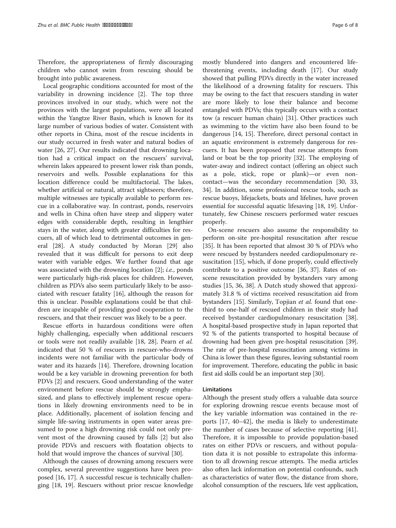Therefore, the appropriateness of firmly discouraging children who cannot swim from rescuing should be brought into public awareness.

Local geographic conditions accounted for most of the variability in drowning incidence [2]. The top three provinces involved in our study, which were not the provinces with the largest populations, were all located within the Yangtze River Basin, which is known for its large number of various bodies of water. Consistent with other reports in China, most of the rescue incidents in our study occurred in fresh water and natural bodies of water [26, 27]. Our results indicated that drowning location had a critical impact on the rescuers' survival, wherein lakes appeared to present lower risk than ponds, reservoirs and wells. Possible explanations for this location difference could be multifactorial. The lakes, whether artificial or natural, attract sightseers; therefore, multiple witnesses are typically available to perform rescue in a collaborative way. In contrast, ponds, reservoirs and wells in China often have steep and slippery water edges with considerable depth, resulting in lengthier stays in the water, along with greater difficulties for rescuers, all of which lead to detrimental outcomes in general [28]. A study conducted by Moran [29] also revealed that it was difficult for persons to exit deep water with variable edges. We further found that age was associated with the drowning location [2]; i.e., ponds were particularly high-risk places for children. However, children as PDVs also seem particularly likely to be associated with rescuer fatality [16], although the reason for this is unclear. Possible explanations could be that children are incapable of providing good cooperation to the rescuers, and that their rescuer was likely to be a peer.

Rescue efforts in hazardous conditions were often highly challenging, especially when additional rescuers or tools were not readily available [18, 28]. Pearn et al. indicated that 50 % of rescuers in rescuer-who-drowns incidents were not familiar with the particular body of water and its hazards [14]. Therefore, drowning location would be a key variable in drowning prevention for both PDVs [2] and rescuers. Good understanding of the water environment before rescue should be strongly emphasized, and plans to effectively implement rescue operations in likely drowning environments need to be in place. Additionally, placement of isolation fencing and simple life-saving instruments in open water areas presumed to pose a high drowning risk could not only prevent most of the drowning caused by falls [2] but also provide PDVs and rescuers with floatation objects to hold that would improve the chances of survival [30].

Although the causes of drowning among rescuers were complex, several preventive suggestions have been proposed [16, 17]. A successful rescue is technically challenging [18, 19]. Rescuers without prior rescue knowledge

mostly blundered into dangers and encountered lifethreatening events, including death [17]. Our study showed that pulling PDVs directly in the water increased the likelihood of a drowning fatality for rescuers. This may be owing to the fact that rescuers standing in water are more likely to lose their balance and become entangled with PDVs; this typically occurs with a contact tow (a rescuer human chain) [31]. Other practices such as swimming to the victim have also been found to be dangerous [14, 15]. Therefore, direct personal contact in an aquatic environment is extremely dangerous for rescuers. It has been proposed that rescue attempts from land or boat be the top priority [32]. The employing of water-away and indirect contact (offering an object such as a pole, stick, rope or plank)—or even noncontact—was the secondary recommendation [30, 33, 34]. In addition, some professional rescue tools, such as rescue buoys, lifejackets, boats and lifelines, have proven essential for successful aquatic lifesaving [18, 19]. Unfortunately, few Chinese rescuers performed water rescues properly.

On-scene rescuers also assume the responsibility to perform on-site pre-hospital resuscitation after rescue [35]. It has been reported that almost 30 % of PDVs who were rescued by bystanders needed cardiopulmonary resuscitation [15], which, if done properly, could effectively contribute to a positive outcome [36, 37]. Rates of onscene resuscitation provided by bystanders vary among studies [15, 36, 38]. A Dutch study showed that approximately 31.8 % of victims received resuscitation aid from bystanders [15]. Similarly, Topjian et al. found that onethird to one-half of rescued children in their study had received bystander cardiopulmonary resuscitation [38]. A hospital-based prospective study in Japan reported that 92 % of the patients transported to hospital because of drowning had been given pre-hospital resuscitation [39]. The rate of pre-hospital resuscitation among victims in China is lower than these figures, leaving substantial room for improvement. Therefore, educating the public in basic first aid skills could be an important step [30].

#### Limitations

Although the present study offers a valuable data source for exploring drowning rescue events because most of the key variable information was contained in the reports [17, 40–42], the media is likely to underestimate the number of cases because of selective reporting [41]. Therefore, it is impossible to provide population-based rates on either PDVs or rescuers, and without population data it is not possible to extrapolate this information to all drowning rescue attempts. The media articles also often lack information on potential confounds, such as characteristics of water flow, the distance from shore, alcohol consumption of the rescuers, life vest application,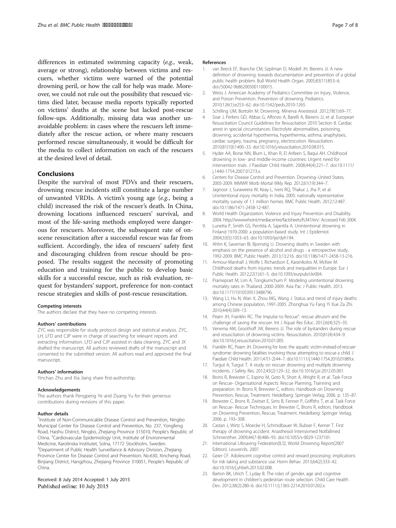differences in estimated swimming capacity (e.g., weak, average or strong), relationship between victims and rescuers, whether victims were warned of the potential drowning peril, or how the call for help was made. Moreover, we could not rule out the possibility that rescued victims died later, because media reports typically reported on victims' deaths at the scene but lacked post-rescue follow-ups. Additionally, missing data was another unavoidable problem: in cases where the rescuers left immediately after the rescue action, or where many rescuers performed rescue simultaneously, it would be difficult for the media to collect information on each of the rescuers at the desired level of detail.

#### Conclusions

Despite the survival of most PDVs and their rescuers, drowning rescue incidents still constitute a large number of unwanted VRDIs. A victim's young age (e.g., being a child) increased the risk of the rescuer's death. In China, drowning locations influenced rescuers' survival, and most of the life-saving methods employed were dangerous for rescuers. Moreover, the subsequent rate of onscene resuscitation after a successful rescue was far from sufficient. Accordingly, the idea of rescuers' safety first and discouraging children from rescue should be proposed. The results suggest the necessity of promoting education and training for the public to develop basic skills for a successful rescue, such as risk evaluation, request for bystanders' support, preference for non-contact rescue strategies and skills of post-rescue resuscitation.

#### Competing interests

The authors declare that they have no competing interests.

#### Authors' contributions

ZYC was responsible for study protocol design and statistical analysis. ZYC, LH, LFD and CJP were in charge of searching for relevant reports and extracting information. LFD and CJP assisted in data cleaning. ZYC and JX drafted the manuscript. All authors reviewed drafts of the manuscript and consented to the submitted version. All authors read and approved the final manuscript.

#### Authors' information

Yinchao Zhu and Xia Jiang share first-authorship.

#### Acknowledgements

The authors thank Pengpeng Ye and Ziyang Yu for their generous contributions during revisions of this paper.

#### Author details

<sup>1</sup>Institute of Non-Communicable Disease Control and Prevention, Ningbo Municipal Center for Disease Control and Prevention, No. 237, Yongfeng Road, Haishu District, Ningbo, Zhejiang Province 315010, People's Republic of China. <sup>2</sup> Cardiovascular Epidemiology Unit, Institute of Environmental Medicine, Karolinska Institutet, Solna, 17172 Stockholm, Sweden. <sup>3</sup>Department of Public Health Surveillance & Advisory Division, Zhejiang Province Center for Disease Control and Prevention, No.630, Xincheng Road, Binjiang District, Hangzhou, Zhejiang Province 310051, People's Republic of China.

#### Received: 8 July 2014 Accepted: 1 July 2015 Published online: 10 July 2015

#### References

- van Beeck EF, Branche CM, Szpilman D, Modell JH, Bierens JJ, A new definition of drowning: towards documentation and prevention of a global public health problem. Bull World Health Organ. 2005;83(11):853–6. doi:/S0042-96862005001100015.
- 2. Weiss J. American Academy of Pediatrics Committee on Injury, Violence, and Poison Prevention. Prevention of drowning. Pediatrics. 2010;126(1):e253–62. doi:10.1542/peds.2010-1265.
- 3. Schilling UM, Bortolin M. Drowning. Minerva Anestesiol. 2012;78(1):69–77.
- 4. Soar J, Perkins GD, Abbas G, Alfonzo A, Barelli A, Bierens JJ, et al. European Resuscitation Council Guidelines for Resuscitation 2010 Section 8. Cardiac arrest in special circumstances: Electrolyte abnormalities, poisoning, drowning, accidental hypothermia, hyperthermia, asthma, anaphylaxis, cardiac surgery, trauma, pregnancy, electrocution. Resuscitation. 2010;81(10):1400–33. doi:10.1016/j.resuscitation.2010.08.015.
- 5. Hyder AA, Borse NN, Blum L, Khan R, El Arifeen S, Baqui AH. Childhood drowning in low- and middle-income countries: Urgent need for intervention trials. J Paediatr Child Health. 2008;44(4):221–7. doi:10.1111/ j.1440-1754.2007.01273.x.
- 6. Centers for Disease Control and Prevention. Drowning–United States, 2005-2009. MMWR Morb Mortal Wkly Rep. 2012;61(19):344–7.
- 7. Jagnoor J, Suraweera W, Keay L, Ivers RQ, Thakur J, Jha P, et al. Unintentional injury mortality in India, 2005: nationally representative mortality survey of 1.1 million homes. BMC Public Health. 2012;12:487. doi:10.1186/1471-2458-12-487.
- 8. World Health Organization. Violence and Injury Prevention and Disability. 2004. http://wwwwhoint/mediacentre/factsheets/fs347/en/. Accessed Feb 2004.
- 9. Lunetta P, Smith GS, Penttila A, Sajantila A. Unintentional drowning in Finland 1970-2000: a population-based study. Int J Epidemiol. 2004;33(5):1053–63. doi:10.1093/ije/dyh194.
- 10. Ahlm K, Saveman BI, Bjornstig U. Drowning deaths in Sweden with emphasis on the presence of alcohol and drugs - a retrospective study, 1992-2009. BMC Public Health. 2013;13:216. doi:10.1186/1471-2458-13-216.
- 11. Armour-Marshall J, Wolfe I, Richardson E, Karanikolos M, McKee M. Childhood deaths from injuries: trends and inequalities in Europe. Eur J Public Health. 2012;22(1):61–5. doi:10.1093/eurpub/ckr004.
- 12. Prameprart M, Lim A, Tongkumchum P. Modeling unintentional drowning mortality rates in Thailand, 2000-2009. Asia Pac J Public Health. 2013. doi:10.1177/1010539513488796.
- 13. Wang LJ, Hu N, Wan X, Zhou MG, Wang J. Status and trend of injury deaths among Chinese population, 1991-2005. Zhonghua Yu Fang Yi Xue Za Zhi. 2010;44(4):309–13.
- 14. Pearn JH, Franklin RC. The Impulse to Rescue": rescue altruism and the challenge of saving the rescuer. Int J Aquat Res Educ. 2012;6(4):325–35.
- 15. Venema AM, Groothoff JW, Bierens JJ. The role of bystanders during rescue and resuscitation of drowning victims. Resuscitation. 2010;81(4):434–9. doi:10.1016/j.resuscitation.2010.01.005.
- 16. Franklin RC, Pearn JH. Drowning for love: the aquatic victim-instead-of-rescuer syndrome: drowning fatalities involving those attempting to rescue a child. J Paediatr Child Health. 2011;47(1-2):44-7. doi:10.1111/j.1440-1754.2010.01889.x.
- 17. Turgut A, Turgut T. A study on rescuer drowning and multiple drowning incidents. J Safety Res. 2012;43(2):129–32. doi:10.1016/j.jsr.2012.05.001.
- 18. Brons R, Brewster C, Espino M, Goto R, Short A, Wright R, et al. Task Force on Rescue- Organisational Aspects: Rescue Planning, Trainning and preparation. In: Brons R, Brewster C, editors. Handbook on Drowning Prevention, Rescue, Treatment. Heidelberg: Springer Verlag; 2006. p. 135–87.
- 19. Brewster C, Brons R, Zwitser E, Sims B, Fenner P, Griffiths T, et al. Task Force on Rescue- Rescue Techniques. In: Brewster C, Brons R, editors. Handbook on Drowning Prevention, Rescue, Treatment. Heidelberg: Springer Verlag; 2006. p. 193–308.
- 20. Castan J, Wirtz S, Moecke H, Schmidbauer W, Bubser F, Kerner T. First therapy of drowning accident. Anasthesiol Intensivmed Notfallmed Schmerzther. 2009;44(7-8):486–93. doi:10.1055/s-0029-1237101.
- 21. International Lifesaving Federation[ILS]. World Drowning Report(2007 Edition). Leuven: Ils. 2007.
- 22. Geier CF. Adolescent cognitive control and reward processing: implications for risk taking and substance use. Horm Behav. 2013;64(2):333–42. doi:10.1016/j.yhbeh.2013.02.008.
- 23. Barton BK, Ulrich T, Lyday B. The roles of gender, age and cognitive development in children's pedestrian route selection. Child Care Health Dev. 2012;38(2):280–6. doi:10.1111/j.1365-2214.2010.01202.x.